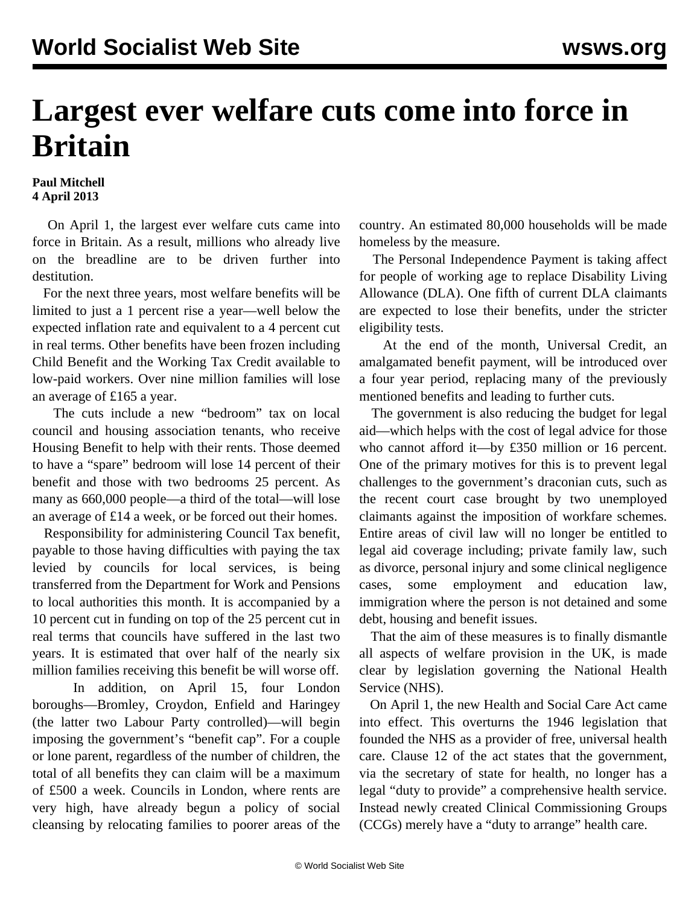## **Largest ever welfare cuts come into force in Britain**

## **Paul Mitchell 4 April 2013**

 On April 1, the largest ever welfare cuts came into force in Britain. As a result, millions who already live on the breadline are to be driven further into destitution.

 For the next three years, most welfare benefits will be limited to just a 1 percent rise a year—well below the expected inflation rate and equivalent to a 4 percent cut in real terms. Other benefits have been frozen including Child Benefit and the Working Tax Credit available to low-paid workers. Over nine million families will lose an average of £165 a year.

 The cuts include a new "bedroom" tax on local council and housing association tenants, who receive Housing Benefit to help with their rents. Those deemed to have a "spare" bedroom will lose 14 percent of their benefit and those with two bedrooms 25 percent. As many as 660,000 people—a third of the total—will lose an average of £14 a week, or be forced out their homes.

 Responsibility for administering Council Tax benefit, payable to those having difficulties with paying the tax levied by councils for local services, is being transferred from the Department for Work and Pensions to local authorities this month. It is accompanied by a 10 percent cut in funding on top of the 25 percent cut in real terms that councils have suffered in the last two years. It is estimated that over half of the nearly six million families receiving this benefit be will worse off.

 In addition, on April 15, four London boroughs—Bromley, Croydon, Enfield and Haringey (the latter two Labour Party controlled)—will begin imposing the government's "benefit cap". For a couple or lone parent, regardless of the number of children, the total of all benefits they can claim will be a maximum of £500 a week. Councils in London, where rents are very high, have already begun a policy of social cleansing by relocating families to poorer areas of the country. An estimated 80,000 households will be made homeless by the measure.

 The Personal Independence Payment is taking affect for people of working age to replace Disability Living Allowance (DLA). One fifth of current DLA claimants are expected to lose their benefits, under the stricter eligibility tests.

 At the end of the month, Universal Credit, an amalgamated benefit payment, will be introduced over a four year period, replacing many of the previously mentioned benefits and leading to further cuts.

 The government is also reducing the budget for legal aid—which helps with the cost of legal advice for those who cannot afford it—by £350 million or 16 percent. One of the primary motives for this is to prevent legal challenges to the government's draconian cuts, such as the recent court case brought by two unemployed claimants against the imposition of workfare schemes. Entire areas of civil law will no longer be entitled to legal aid coverage including; private family law, such as divorce, personal injury and some clinical negligence cases, some employment and education law, immigration where the person is not detained and some debt, housing and benefit issues.

 That the aim of these measures is to finally dismantle all aspects of welfare provision in the UK, is made clear by legislation governing the National Health Service (NHS).

 On April 1, the new Health and Social Care Act came into effect. This overturns the 1946 legislation that founded the NHS as a provider of free, universal health care. Clause 12 of the act states that the government, via the secretary of state for health, no longer has a legal "duty to provide" a comprehensive health service. Instead newly created Clinical Commissioning Groups (CCGs) merely have a "duty to arrange" health care.